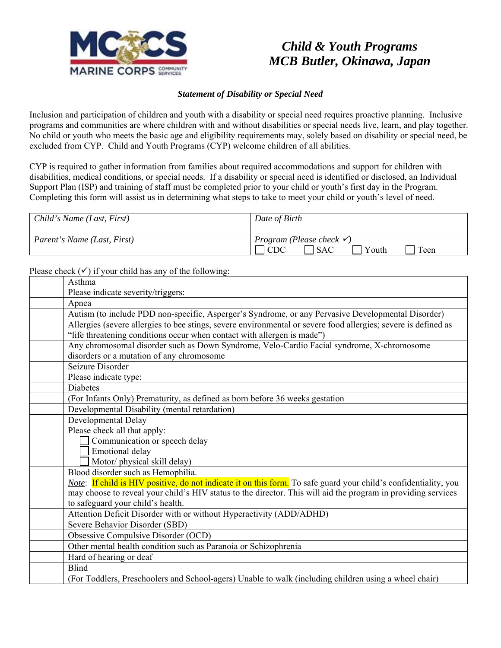

## *Child & Youth Programs MCB Butler, Okinawa, Japan*

## *Statement of Disability or Special Need*

Inclusion and participation of children and youth with a disability or special need requires proactive planning. Inclusive programs and communities are where children with and without disabilities or special needs live, learn, and play together. No child or youth who meets the basic age and eligibility requirements may, solely based on disability or special need, be excluded from CYP. Child and Youth Programs (CYP) welcome children of all abilities.

CYP is required to gather information from families about required accommodations and support for children with disabilities, medical conditions, or special needs. If a disability or special need is identified or disclosed, an Individual Support Plan (ISP) and training of staff must be completed prior to your child or youth's first day in the Program. Completing this form will assist us in determining what steps to take to meet your child or youth's level of need.

| Child's Name (Last, First)  | Date of Birth                                                                      |
|-----------------------------|------------------------------------------------------------------------------------|
| Parent's Name (Last, First) | <i>Program</i> ( <i>Please check</i> $\checkmark$ )<br>Youth<br>Teen<br><b>SAC</b> |

Please check  $(\checkmark)$  if your child has any of the following:

| Asthma                                                                                                           |
|------------------------------------------------------------------------------------------------------------------|
| Please indicate severity/triggers:                                                                               |
| Apnea                                                                                                            |
| Autism (to include PDD non-specific, Asperger's Syndrome, or any Pervasive Developmental Disorder)               |
| Allergies (severe allergies to bee stings, severe environmental or severe food allergies; severe is defined as   |
| "life threatening conditions occur when contact with allergen is made")                                          |
| Any chromosomal disorder such as Down Syndrome, Velo-Cardio Facial syndrome, X-chromosome                        |
| disorders or a mutation of any chromosome                                                                        |
| Seizure Disorder                                                                                                 |
| Please indicate type:                                                                                            |
| <b>Diabetes</b>                                                                                                  |
| (For Infants Only) Prematurity, as defined as born before 36 weeks gestation                                     |
| Developmental Disability (mental retardation)                                                                    |
| Developmental Delay                                                                                              |
| Please check all that apply:                                                                                     |
| Communication or speech delay                                                                                    |
| Emotional delay                                                                                                  |
| Motor/ physical skill delay)                                                                                     |
| Blood disorder such as Hemophilia.                                                                               |
| Note: If child is HIV positive, do not indicate it on this form. To safe guard your child's confidentiality, you |
| may choose to reveal your child's HIV status to the director. This will aid the program in providing services    |
| to safeguard your child's health.                                                                                |
| Attention Deficit Disorder with or without Hyperactivity (ADD/ADHD)                                              |
| Severe Behavior Disorder (SBD)                                                                                   |
| Obsessive Compulsive Disorder (OCD)                                                                              |
| Other mental health condition such as Paranoia or Schizophrenia                                                  |
| Hard of hearing or deaf                                                                                          |
| <b>Blind</b>                                                                                                     |
| (For Toddlers, Preschoolers and School-agers) Unable to walk (including children using a wheel chair)            |
|                                                                                                                  |